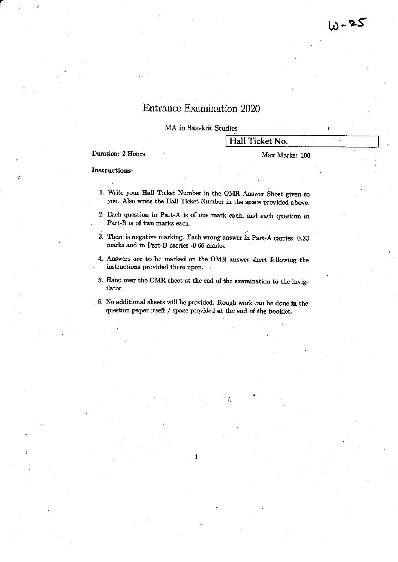$\ddot{\phantom{a}}$ 

# Entrance Examination 2020

MA in Sanskrit Studies

## Hall Ticket No.

Duration: 2 Hours

#### Max Marks: 100

#### **Instructions:**

- 1. Write your Hall Ticket Number in the OMR Answer Sheet given to you. Also write the Hall Ticket Number in the space provided above.
- 2. Each question in Part-A is of one mark each, and each question in Part-B is of two marks each.
- 3. There is negative marking. Each wrong answer in Part-A carries -0.33 marks and in Part-B carries -0.66 marks.
- 4. Answers are to be marked on the OMR answer sheet following the instructions provided there upon.
- 5. Hand over the OMR sheet at the end of the examination to the invigilator.
- 6. No additional sheets will be provided. Rough work can be done in the question paper itself / space provided at the end of the booklet.

1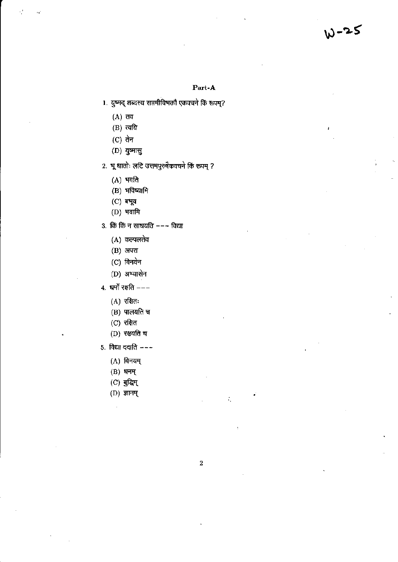W-25

### Part-A

- 1. युष्मद् शब्दस्य सप्तमीविभक्तौ एकक्चने किं रूपम्?
	- $(A)$  तव
	- $(B)$  त्वयि
	- $(C)$  तेन
	- $(D)$  युष्मासु
- 2. भू धातोः लटि उत्तमपुरुषैकवचने किं रूपम् ?
	- $(A)$  भवति
	- $(B)$  भविष्यामि
	- $(C)$  बभूव
	- $(D)$  भवामि
- 3. किं किं न साधयति ––– विद्या
	- $(A)$  कल्पलतेव
	- $(B)$  अपरा
	- $(C)$  विनयेन
	- (D) अभ्यासेन
- 4. धर्मो रक्षति  $---$ 
	- $(A)$  रक्षितः
	- $(B)$  पालयति च
	- $(C)$  रक्षित
	- $(D)$  रक्षयति च
- 5. विद्या ददाति  $-$ -
	- $(A)$  विनयम्
	- $(B)$  धनम्
	- $(C)$  बुद्धिम्
	- $(D)$  ज्ञानम्

÷,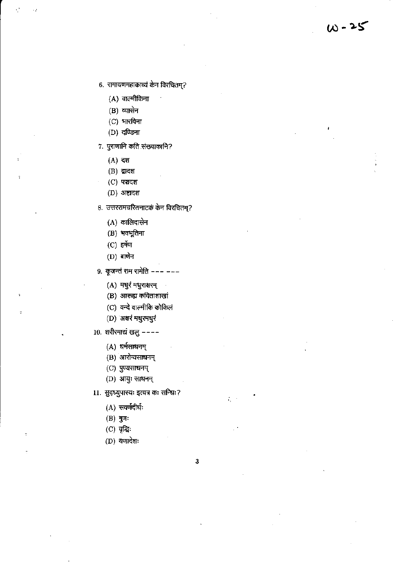- 6. रामायणमहाकाव्यं केन विरचितम्?
	- (A) वाल्मीकिना
	- $(B)$  व्यासेन
	- $(C)$  भारविना
	- $(D)$  दण्डिना
- ७. पुराणानि कति संख्याकानि?
	- (A) दश
	- $(B)$  द्वादश
	- $(C)$  पञ्चदश
	- $(D)$  अष्टादश
- 8. उत्तररामचरितनाटकं केन विरचितम्?
	- $(A)$  कालिदासेन
	- (B) भवभूतिना
	- $(C)$  हर्षेण
	- $(D)$  बाणेन
- 9. कूजन्तं राम रामेति --- ---
	- (A) मधुरं मधुराक्षरम्
	- (B) आरूह्य कविताशाखां
	- (C) वन्दे वाल्मीकि कोकिलं
	- (D) अक्षरं मधुरमधुरं
- $10.$  शरीरमाद्यं खलु ––––
	- (A) धर्मसाधनम्
	- (B) आरोग्यसाधनम्
	- $(C)$  पुण्यसाधनम्
	- (D) आयुः साधनम्
- 11. सुदृध्युपास्यः इत्यत्र कः सन्धिः?
	- $(A)$  सवर्णदीर्घः
	- $(B)$  गुणः
	- $(C)$  वृद्धिः
	- $(D)$  यणादेशः
- 3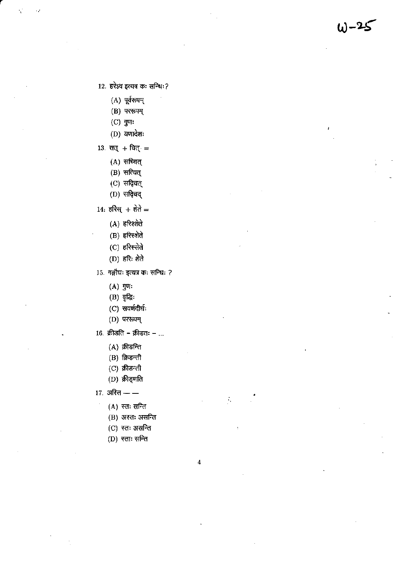12. हरेऽव इत्यत्र कः सन्धिः?

 $\omega - 2$ 

 $(A)$  पूर्वरूपम्

- $(B)$  पररूपम्
- $(C)$  गुणः
- $(D)$  यणादेशः
- 13. सत् + चित् =
	- $(A)$  सच्चित्
	- (B) सत्यित्
	- (C) सदिचत्
	- $(D)$  सदिचंद्
- 14: हरिस् + शेते =
	- $(A)$  हरिश्शेते
	- $(B)$  हरिस्शेते
	- $(C)$  हरिस्सेते
	- $(D)$  हरिः शेते
- 15. गङ्गौघः इत्यत्र कः सन्धिः ?
	- $(A)$  if  $\mathfrak{g}$
	- $(B)$  वृद्धिः
	- (C) सवर्णदीर्घः
	- $(D)$  पररूपम्
- 16. क्रीडति क्रीडतः ...
	- $(A)$  क्रीडन्ति
	- $(B)$  क्रिडन्ती
	- $(C)$  क्रीडन्ती
	- $(D)$  क्रीड्णति

17. अस्ति — —

- $(A)$  स्तः सन्ति
- (B) अस्तः असन्ति
- $(C)$  स्तः असन्ति
- $(D)$  स्ताः सन्ति

 $\overline{\mathbf{4}}$ 

Ň,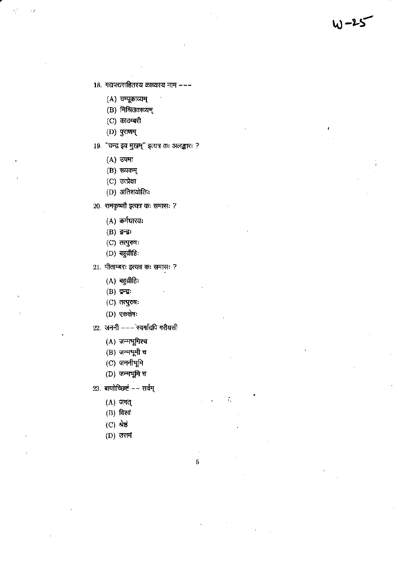18. गद्यपद्यसहितस्य काव्यस्य नाम ---

W-25

- (A) चम्पूकाव्यम्
- (B) मिश्रितकाव्यम्
- $(C)$  कादम्बरी
- $(D)$  पुराणम्
- 19. "चन्द्र इव मुखम्" इत्यत्र कः अलङ्कारः ?
	- $(A)$  उपमा
	- $(B)$  रूपकम्
	- $(C)$  उत्प्रेक्षा
	- (D) अतिशयोक्तिः
- 20. रामकृष्णौ इत्यत्र कः समासः ?
	- $(A)$  कर्मधारयः
	- $(B)$  ਕ਼ੁਜ਼ਕ਼:
	- $(C)$  तत्पुरुषः
	- $(D)$  बहुव्रीहिः
- 21. पीताम्बरः इत्यत्र कः समासः ?
	- $(A)$  बहुव्रीहिः
	- $(B)$  ਫ਼ਾਕ਼:
	- $(C)$  तत्पुरुषः
	- (D) एकशेषः
- 22. जननी --- स्वर्गादपि गरीयसी
	- $(A)$  जन्मभूमिश्च
	- $(B)$  जन्मभूमी च
	- (C) जननीभूमि
	- $(D)$  जन्मभूमि च
- $23.$  बाणोच्छिष्टं -- सर्वम्
	- $(A)$  जगत्
	- $(B)$  विश्वं
	- $(C)$  श्रेष्ठं
	- $(D)$  उत्तमं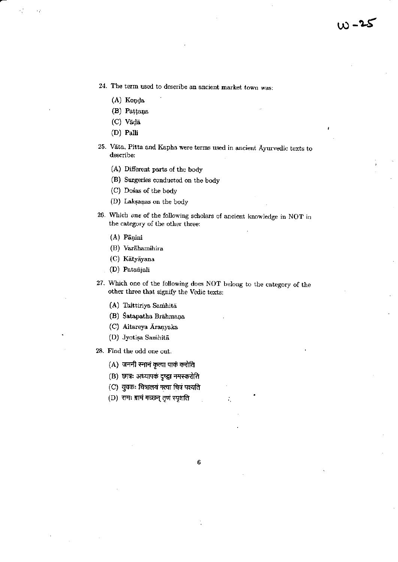- 24. The term used to describe an ancient market town was:
	- (A) Konda
	- (B) Pațțana
	- (C) Vādā
	- $(D)$  Palli
- 25. Vāta, Pitta and Kapha were terms used in ancient Ayurvedic texts to describe:
	- (A) Different parts of the body
	- (B) Surgeries conducted on the body
	- (C) Dosas of the body
	- (D) Laksanas on the body
- 26. Which one of the following scholars of ancient knowledge in NOT in the category of the other three:
	- (A) Pāņini
	- (B) Varāhamihira
	- (C) Kātyāyana
	- (D) Patañjali
- 27. Which one of the following does NOT belong to the category of the other three that signify the Vedic texts:

 $\boldsymbol{6}$ 

- (A) Taittiriya Samhitā
- (B) Satapatha Brahmana
- (C) Aitareya Aranyaka
- (D) Jyotisa Samhitā
- 28. Find the odd one out.
	- (A) जननी स्नानं कृत्वा पाकं करोति
	- (B) छात्रः अध्यापकं दृष्ट्वा नमस्करोति
	- (C) युवकः चित्रालयं गत्वा चित्रं पश्यति
	- (D) रामः ग्रामं गच्छन् तृणं स्पृशति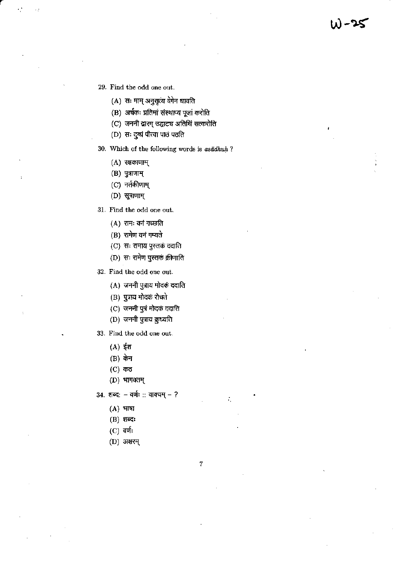- 29. Find the odd one out.
	- (A) सः माम् अनुसृत्य वेगेन धावति
	- (B) अर्चकः प्रतिमां संस्थाप्य पूजां करोति
	- (C) जननी द्वारम् उद्घाट्य अतिथिं सत्करोति
	- $(D)$  सः दुग्धं पीत्वा पाठं पठति
- 30. Which of the following words is asadhuh ?
	- $(A)$  रक्षकाणाम्
	- $(B)$  पुत्राणाम्
	- $(C)$  नर्तकीणाम्
	- $(D)$  सूत्राणाम्
- 31. Find the odd one out.
	- (A) रामः वनं गच्छति
	- (B) रामेण वनं गम्यते
	- (C) सः रामाय पुस्तकं ददाति
	- (D) सः रामेण पुस्तकं क्रीणाति
- 32. Find the odd one out.
	- (A) जननी पुत्राय मोदक ददाति
	- (B) पुत्राय मोदक रोचते
	- (C) जननी पुत्रं मोदकं ददाति
	- (D) जननी पुत्राय क़ुध्यति
- 33. Find the odd one out.
	- $(A)$ ईश
	- (B) केन
	- $(C)$  कठ
	- $(D)$  भागवतम्

34. शब्द: - वर्णः :: वाक्यम् - ?

- $(A)$  भाषा
- $(B)$  शब्दः
- $(C)$  वर्णः
- (D) अक्षरम्

 $\overline{7}$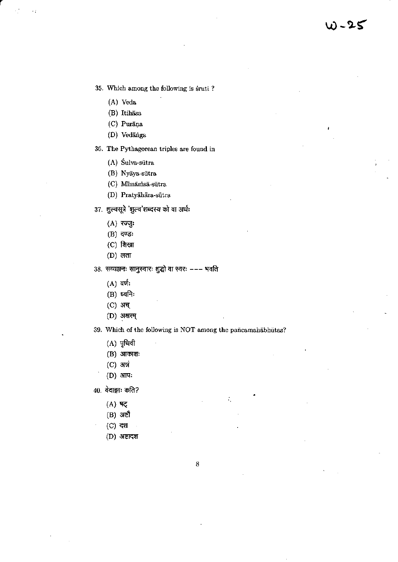35. Which among the following is śruti?

(A) Veda

 $\epsilon$  )

- (B) Itihasa
- (C) Purāņa
- (D) Vedānga

36. The Pythagorean triples are found in

- (A) Sulva-sütra
- (B) Nyaya-sütra
- (C) Mīmāmsā-sūtra
- (D) Pratyāhāra-sūtra
- 37. शुल्वसूत्रे 'शुल्व'शब्दस्य को वा अर्थः
	- $(A)$  रज्जुः
	- (B) दण्डः
	- $(C)$  शिखा
	- $(D)$  लता
- 38. सव्यञ्जनः सानुस्वारः शुद्धो वा स्वरः --- भवति
	- $(A)$  वर्णः
	- $(B)$  ध्वनिः
	- (C) अच्
	- (D) अक्षरम्

## 39. Which of the following is NOT among the pancamahabhutas?

- $(A)$  पृथिवी
- $(B)$  आकाशः
- $(C)$  अन्नं
- $(D)$  आपः
- $40.$  वेदाङ्गाः कति?
	- (A) षट्
	- $(B)$  अष्टौ
	- (C) दश
	- $(D)$  अष्टादश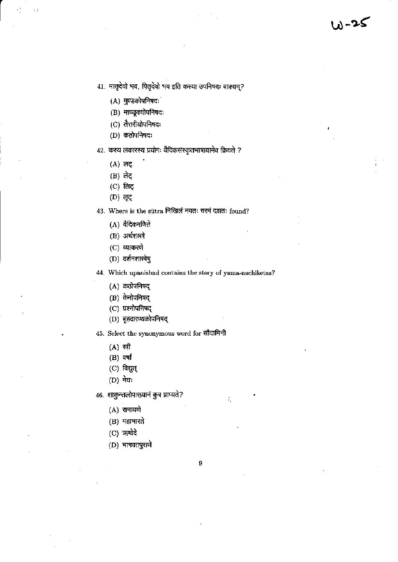- 41. मातृदेवो भव, पितृदेवो भव इति कस्या उपनिषदः वाक्यम्?
	- $(A)$  मुण्डकोपनिषदः
	- (B) माण्डूक्योपनिषदः
	- (C) तैत्तरीयोपनिषदः
	- $(D)$  कठोपनिषदः
- 42. कस्य लकारस्य प्रयोगः वैदिकसंस्कृतभाषायामेव क्रियते ?
	- $(A)$  लट्
	- (B) लेट्
	- $(C)$  लिट्
	- (D) लूट्
- 43. Where is the sutra निखिलं नवतः चरमं दशतः found?
	- (A) वैदिकगणिते
	- (B) अर्थशास्त्रे
	- $(C)$  व्याकरणे
	- (D) दर्शनशास्त्रेषु
- 44. Which upanishad contains the story of yama-nachiketas?
	- (A) कठोपनिषद्
	- (B) केनोपनिषद्
	- (C) प्रश्नोपनिषद्
	- (D) बृहदारण्यकोपनिषद्
- 45. Select the synonymous word for सौदामिनी
	- $(A)$  स्त्री
	- $(B)$  वर्षा
	- $(C)$  विद्युत्
	- (D) मेघः
- 46. शाकुन्तलोपाख्यानं कुत्र प्राप्यते?
	- $(A)$  रामायणे
	- $(B)$  महाभारते
	- $(C)$  ऋग्वेदे
	- (D) भागवतपुराणे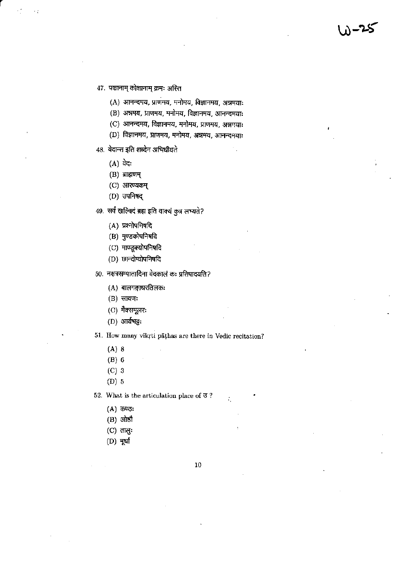(A) आनन्दमय, प्राणमय, मनोमय, विज्ञानमय, अन्नमयाः

یح− (

- (B) अन्नमय, प्राणमय, मनोमय, विज्ञानमय, आनन्दमया:
- (C) आनन्दमय, विज्ञानमय, मनोमय, प्राणमय, अन्नमयाः
- (D) विज्ञानमय, प्राणमय, मनोमय, अन्नमय, आनन्दमयाः
- 48. वेदान्त इति शब्देन अभिधीयते
	- $(A)$  वेदः
	- $(B)$  ब्राह्मणम्
	- $(C)$  आरण्यकम्
	- $(D)$  उपनिषद्
- 49. सर्वं खल्विदं ब्रह्म इति वाक्यं कुत्र लभ्यते?
	- (A) प्रश्नोपनिषदि
	- (B) मुण्डकोपनिषदि
	- (C) माण्डूक्योपनिषदि
	- (D) छान्दोग्योपनिषदि
- 50. नक्षत्रसम्पातादिना वेदकालं कः प्रतिपादयति?
	- $(A)$  बालगङ्गाधरतिलकः
	- $(B)$  सायणः
	- (C) मैक्समूलरः
	- (D) आर्यभट्टः

51. How many vikrti pāthas are there in Vedic recitation?

- $(A)$  8
- $(B) 6$
- $(C)$  3
- $(D)$  5

52. What is the articulation place of  $\Im$  ?

- (A) कण्ठः
- $(B)$  ओष्ठौ
- $(C)$  तालुः
- $(D)$  मूर्धा

10

 $\ddot{\cdot}$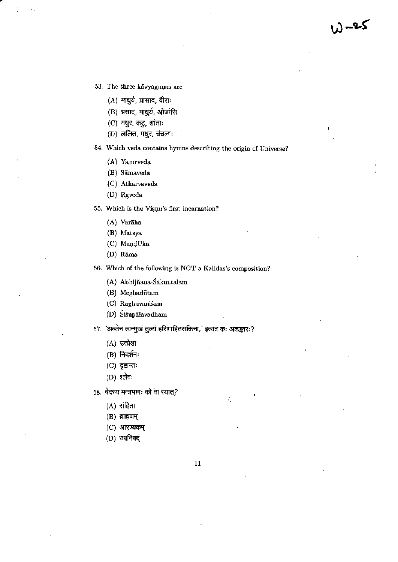کے۔

- 53. The three kavyagunas are
	- (A) माधुर्य, प्रासाद, वीराः
	- (B) प्रसाद, माधुर्य, ओजांसि
	- (C) मधुर, कटु, शांताः
	- $(D)$  ललित, मधुर, चंचलाः

54. Which veda contains hymns describing the origin of Universe?

- (A) Yajurveda
- (B) Sāmaveda
- (C) Atharvaveda
- (D) Rgveda

55. Which is the Visuu's first incarnation?

- (A) Varāha
- (B) Matsya
- (C) MandUka
- (D) Rāma

56. Which of the following is NOT a Kalidas's composition?

- (A) Abhijñāna-Śākuntalam
- (B) Meghadūtam
- (C) Raghuvamsam
- (D) Śiśupālavadham
- 57. 'अब्जेन त्वन्मुखं तुल्यं हरिणाहितसक्तिना,' इत्यत्र कः अलङ्कारः?
	- $(A)$  उत्प्रेक्षा
	- $(B)$  निदर्शनः
	- $(C)$  दृष्टान्तः
	- $(D)$  श्लेषः
- 58. वेदस्य मन्त्रभागः को वा स्यात्?
	- $(A)$  संहिता
	- $(B)$  ब्राह्मणम्
	- $(C)$  आरण्यकम्
	- (D) उपनिषद्

÷,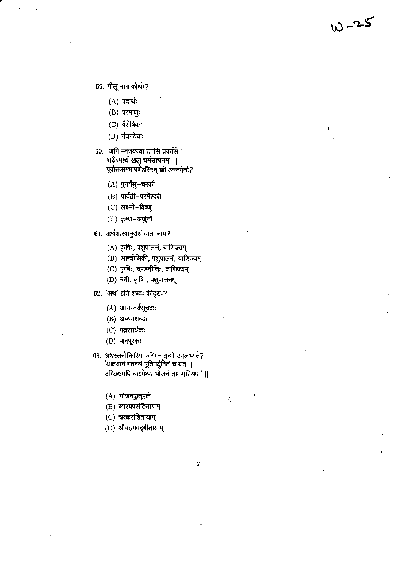59. पीलू नाम कोर्थः?

- $(A)$  पदार्थः
- $(B)$  परमाणुः
- $(C)$  वैशेषिकः
- $(D)$  नैयायिकः
- 60. 'अपि स्वशक्त्या तपसि प्रवर्तसे | शरीरमाद्यं खलु धर्मसाधनम् '॥ पूर्वोक्तसम्भाषणेऽस्मिन् कौ अन्तर्गतौ?
	- (A) पुनर्वसु-चरकौ
	- (B) पार्वती-परमेश्वरौ
	- $(C)$  लक्ष्मी-विष्णू
	- (D) कृष्ण-अर्जुनौ
- 61. अर्थशास्त्रानुरोधं वार्ता नाम?
	- (A) कृषिः, पशुपालनं, वाणिज्यम्
	- (B) आन्वीक्षिकी, पशुपालनं, वाणिज्यम्
	- (C) कृषिः, दण्डनीतिः, वाणिज्यम्
	- (D) त्रयी, कृषिः, पशुपालनम्
- 62. 'अथ' इति शब्दः कीदृशः?
	- (A) आनन्तर्यसूचकः
	- $(B)$  अव्ययशब्दः
	- $(C)$  मङ्गलार्थकः
	- $(D)$  पादपूरकः
- 63. अधस्तनोक्तिरियं कस्मिन् ग्रन्थे उपलभ्यते? 'यातयामं गतरसं पूतिपर्युषितं च यत् | उच्छिष्टमपि चाऽमेथ्यं भोजनं तामसप्रियम् ' ||
	- (A) भोजनकुतूहले
	- (B) काश्यपसंहितायाम्
	- (C) चरकसंहितायाम्
	- (D) श्रीमद्भगवद्गीतायाम्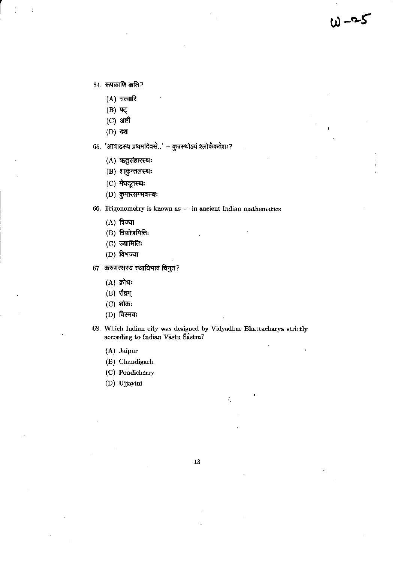$64.$  रूपकाणि कति?

- $(A)$  चत्वारि
- $(B)$  षट्
- (C) अष्टौ
- $(D)$  दश

65. 'आषाढस्य प्रथमदिवसे..' – कुत्रस्थोऽयं श्लोकैकदेशः?

- (A) ऋतुसंहारस्थः
- (B) शाकुन्तलस्थः
- (C) मेघदूतस्थः
- $(D)$  कुमारसम्भवस्थः

66. Trigonometry is known as - in ancient Indian mathematics

 $w - 25$ 

- $(A)$  त्रिज्या
- $(B)$  त्रिकोणमितिः
- $(C)$  ज्यामितिः
- (D) विभज्या
- 67. करुणरसस्य स्थायिभावं विनुत?
	- $(A)$  क्रोधः
	- (B) रौद्रम्
	- $(C)$  शोकः
	- $(D)$  विस्मयः
- 68. Which Indian city was designed by Vidyadhar Bhattacharya strictly according to Indian Vāstu Śāstra?

- (A) Jaipur
- (B) Chandigarh
- (C) Pondicherry
- (D) Ujjayini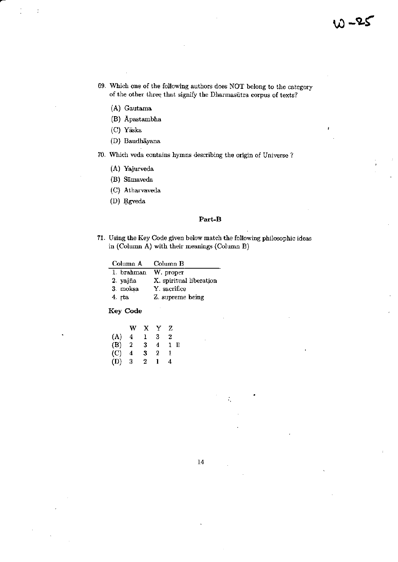- 69. Which one of the following authors does NOT belong to the category of the other three that signify the Dharmasūtra corpus of texts?
	- (A) Gautama
	- (B) Apastambha
	- (C) Yāska

÷

- (D) Baudhāyana
- 70. Which veda contains hymns describing the origin of Universe?
	- (A) Yajurveda
	- (B) Sāmaveda
	- (C) Atharvaveda
	- (D) Rgveda

#### Part-B

71. Using the Key Code given below match the following philosophic ideas in (Column A) with their meanings (Column B)

| Column A   | Column B                |
|------------|-------------------------|
| 1. brahman | W. proper               |
| 2. yajña   | X. spiritual liberation |
| 3. moksa   | Y. sacrifice            |
| 4. rta     | Z. supreme being        |

**Key Code** 

|                             | w | x | Y | z      |  |
|-----------------------------|---|---|---|--------|--|
| (A)                         | 4 | ı | 3 | 2      |  |
| (B)                         | 2 | 3 | 4 | П<br>1 |  |
| $\left( \mathrm{C} \right)$ | 4 | 3 | 2 | 1      |  |
| (D)                         | 3 | 2 | ı | 4      |  |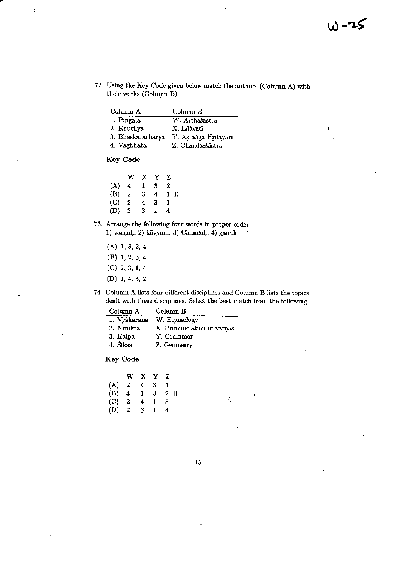72. Using the Key Code given below match the authors (Column A) with their works (Column B)

| Column A          | Column B           |
|-------------------|--------------------|
| 1. Pingala        | W. Arthaśāstra     |
| 2. Kautilya       | X. Līlāvatī        |
| 3. Bhaskaracharya | Y. Astānga Hrdayam |
| 4. Vāgbhata       | Z. Chandasśāstra   |

Key Code

|                | w | х | Y | z |    |
|----------------|---|---|---|---|----|
| (A)            | 4 | 1 | 3 | 2 |    |
| (B)            | 2 | 3 | 4 | 1 | ll |
| (C)            | 2 | 4 | 3 | ı |    |
| $(\mathbf{D})$ | 2 | 3 | 1 | 4 |    |

- 73. Arrange the following four words in proper order. 1) varnah, 2) kāvyam, 3) Chandaḥ, 4) gaņaḥ
	- $(A)$  1, 3, 2, 4
	- $(B)$  1, 2, 3, 4
	- $(C)$  2, 3, 1, 4
	- $(D)$  1, 4, 3, 2
- 74. Column A lists four different disciplines and Column B lists the topics dealt with these disciplines. Select the best match from the following.

| Column A     | Column B                   |
|--------------|----------------------------|
| 1. Vyākaraņa | W. Etymology               |
| 2. Nirukta   | X. Pronunciation of varnas |
| 3. Kalpa     | Y. Grammar                 |
| 4. Śiksā     | Z. Geometry                |
|              |                            |

**Key Code** 

|           | w               | X. | Y  | z      |
|-----------|-----------------|----|----|--------|
| (A)       | $\rightarrow 2$ | 4  | 3  |        |
| (B)       | 4               | 1  | 3  | 2<br>П |
| $\rm (C)$ | 2               | 4  | ı  | 3      |
| (D)       | 2               | 3  | Н. | 4      |

÷,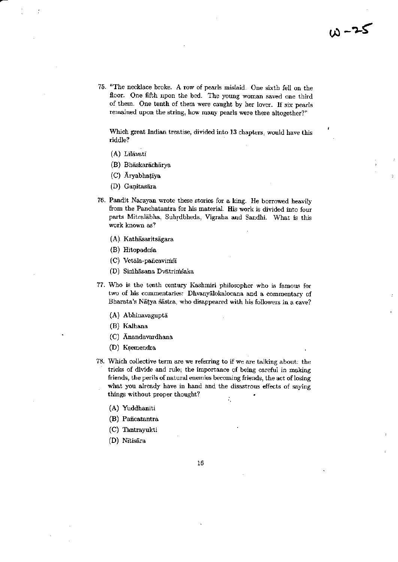75. "The necklace broke. A row of pearls mislaid. One sixth fell on the floor. One fifth upon the bed. The young woman saved one third of them. One tenth of them were caught by her lover. If six pearls remained upon the string, how many pearls were there altogether?"

Which great Indian treatise, divided into 13 chapters, would have this riddle?

- $(A)$  Lilävati
- (B) Bhāskarāchārya
- (C) Aryabhatīya
- (D) Ganitasāra
- 76. Pandit Narayan wrote these stories for a king. He borrowed heavily from the Panchatantra for his material. His work is divided into four parts Mitralabha, Suhrdbheda, Vigraha and Sandhi. What is this work known as?
	- (A) Kathāsaritsāgara
	- (B) Hitopadeśa
	- (C) Vetāla-pancavimsī
	- (D) Simhāsana Dvātrimsaka
- 77. Who is the tenth century Kashmiri philosopher who is famous for two of his commentaries: Dhvanyalokalocana and a commentary of Bharata's Nātya śāstra, who disappeared with his followers in a cave?
	- (A) Abhinavaguptā
	- (B) Kalhana
	- (C) Anandavardhana
	- (D) Ksemendra
- 78. Which collective term are we referring to if we are talking about: the tricks of divide and rule; the importance of being careful in making friends, the perils of natural enemies becoming friends, the act of losing what you already have in hand and the disastrous effects of saying things without proper thought? ÷,
	- (A) Yuddhanīti
	- (B) Pañcatantra
	- (C) Tantrayukti
	- (D) Nītisāra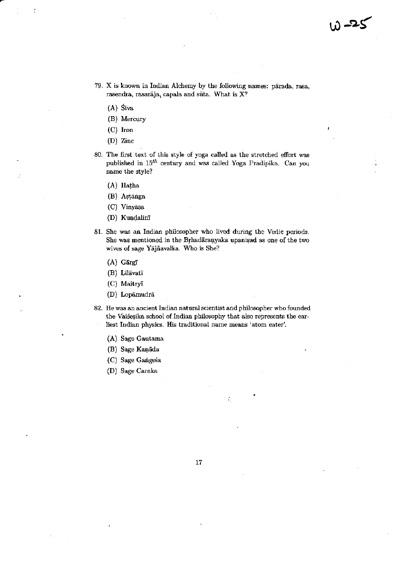- 79. X is known in Indian Alchemy by the following names: pārada, rasa, rasendra, rasarāja, capala and sūta. What is X?
	- $(A)$  Siva
	- (B) Mercury
	- $(C)$  Iron
	- (D) Zinc
- 80. The first text of this style of yoga called as the stretched effort was published in  $15^{th}$  century and was called Yoga Pradipika. Can you name the style?
	- (A) Hatha
	- (B) Astanga
	- (C) Vinyāsa
	- (D) Kundalinī
- 81. She was an Indian philosopher who lived during the Vedic periods. She was mentioned in the Brhadaranyaka upanisad as one of the two wives of sage Yajñavalka. Who is She?
	- (A) Gārgī
	- (B) Līlāvatī
	- (C) Maitryī
	- (D) Lopāmudrā
- 82. He was an ancient Indian natural scientist and philosopher who founded the Vaisesika school of Indian philosophy that also represents the earliest Indian physics. His traditional name means 'atom eater'.
	- (A) Sage Gautama
	- (B) Sage Kaņāda
	- (C) Sage Gangesa
	- (D) Sage Caraka